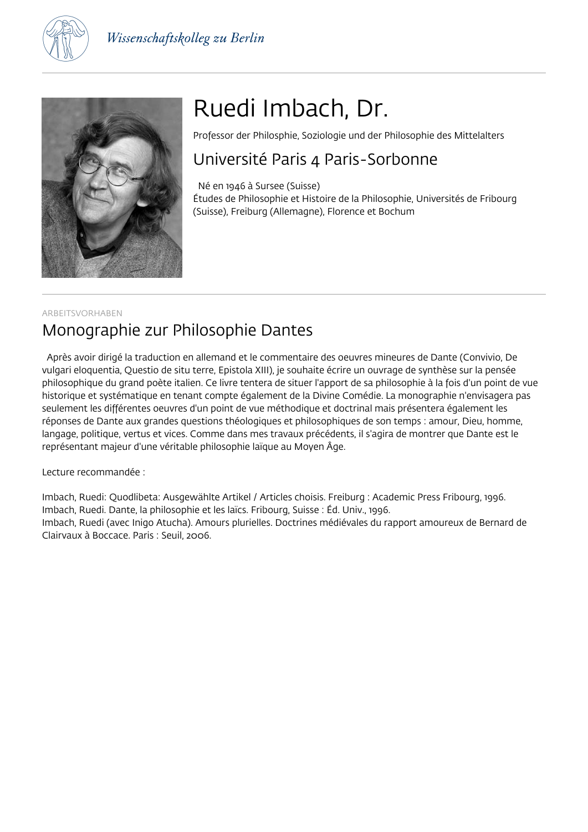



# Ruedi Imbach, Dr.

Professor der Philosphie, Soziologie und der Philosophie des Mittelalters

### Université Paris 4 Paris-Sorbonne

 Né en 1946 à Sursee (Suisse) Études de Philosophie et Histoire de la Philosophie, Universités de Fribourg (Suisse), Freiburg (Allemagne), Florence et Bochum

### ARBEITSVORHABEN Monographie zur Philosophie Dantes

 Après avoir dirigé la traduction en allemand et le commentaire des oeuvres mineures de Dante (Convivio, De vulgari eloquentia, Questio de situ terre, Epistola XIII), je souhaite écrire un ouvrage de synthèse sur la pensée philosophique du grand poète italien. Ce livre tentera de situer l'apport de sa philosophie à la fois d'un point de vue historique et systématique en tenant compte également de la Divine Comédie. La monographie n'envisagera pas seulement les différentes oeuvres d'un point de vue méthodique et doctrinal mais présentera également les réponses de Dante aux grandes questions théologiques et philosophiques de son temps : amour, Dieu, homme, langage, politique, vertus et vices. Comme dans mes travaux précédents, il s'agira de montrer que Dante est le représentant majeur d'une véritable philosophie laïque au Moyen Âge.

Lecture recommandée :

Imbach, Ruedi: Quodlibeta: Ausgewählte Artikel / Articles choisis. Freiburg : Academic Press Fribourg, 1996. Imbach, Ruedi. Dante, la philosophie et les laïcs. Fribourg, Suisse : Éd. Univ., 1996. Imbach, Ruedi (avec Inigo Atucha). Amours plurielles. Doctrines médiévales du rapport amoureux de Bernard de Clairvaux à Boccace. Paris : Seuil, 2006.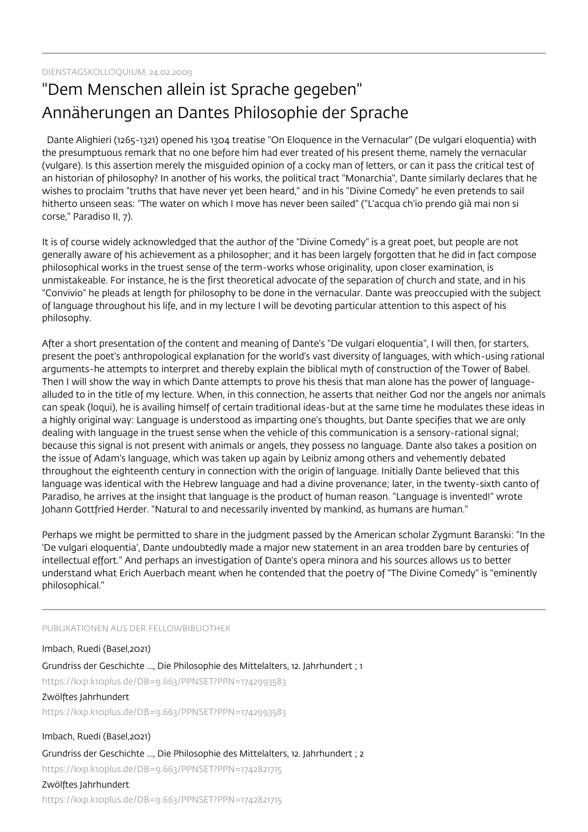## "Dem Menschen allein ist Sprache gegeben" Annäherungen an Dantes Philosophie der Sprache

 Dante Alighieri (1265-1321) opened his 1304 treatise "On Eloquence in the Vernacular" (De vulgari eloquentia) with the presumptuous remark that no one before him had ever treated of his present theme, namely the vernacular (vulgare). Is this assertion merely the misguided opinion of a cocky man of letters, or can it pass the critical test of an historian of philosophy? In another of his works, the political tract "Monarchia", Dante similarly declares that he wishes to proclaim "truths that have never yet been heard," and in his "Divine Comedy" he even pretends to sail hitherto unseen seas: "The water on which I move has never been sailed" ("L'acqua ch'io prendo già mai non si corse," Paradiso II, 7).

It is of course widely acknowledged that the author of the "Divine Comedy" is a great poet, but people are not generally aware of his achievement as a philosopher; and it has been largely forgotten that he did in fact compose philosophical works in the truest sense of the term-works whose originality, upon closer examination, is unmistakeable. For instance, he is the first theoretical advocate of the separation of church and state, and in his "Convivio" he pleads at length for philosophy to be done in the vernacular. Dante was preoccupied with the subject of language throughout his life, and in my lecture I will be devoting particular attention to this aspect of his philosophy.

After a short presentation of the content and meaning of Dante's "De vulgari eloquentia", I will then, for starters, present the poet's anthropological explanation for the world's vast diversity of languages, with which-using rational arguments-he attempts to interpret and thereby explain the biblical myth of construction of the Tower of Babel. Then I will show the way in which Dante attempts to prove his thesis that man alone has the power of languagealluded to in the title of my lecture. When, in this connection, he asserts that neither God nor the angels nor animals can speak (loqui), he is availing himself of certain traditional ideas-but at the same time he modulates these ideas in a highly original way: Language is understood as imparting one's thoughts, but Dante specifies that we are only dealing with language in the truest sense when the vehicle of this communication is a sensory-rational signal; because this signal is not present with animals or angels, they possess no language. Dante also takes a position on the issue of Adam's language, which was taken up again by Leibniz among others and vehemently debated throughout the eighteenth century in connection with the origin of language. Initially Dante believed that this language was identical with the Hebrew language and had a divine provenance; later, in the twenty-sixth canto of Paradiso, he arrives at the insight that language is the product of human reason. "Language is invented!" wrote Johann Gottfried Herder. "Natural to and necessarily invented by mankind, as humans are human."

Perhaps we might be permitted to share in the judgment passed by the American scholar Zygmunt Baranski: "In the 'De vulgari eloquentia', Dante undoubtedly made a major new statement in an area trodden bare by centuries of intellectual effort." And perhaps an investigation of Dante's opera minora and his sources allows us to better understand what Erich Auerbach meant when he contended that the poetry of "The Divine Comedy" is "eminently philosophical."

PUBLIKATIONEN AUS DER FELLOWBIBLIOTHEK

Imbach, Ruedi (Basel,2021) Grundriss der Geschichte ..., Die Philosophie des Mittelalters, 12. Jahrhundert ; 1 https://kxp.k10plus.de/DB=9.663/PPNSET?PPN=1742993583 Zwölftes Jahrhundert https://kxp.k10plus.de/DB=9.663/PPNSET?PPN=1742993583 Imbach, Ruedi (Basel,2021)

Grundriss der Geschichte ..., Die Philosophie des Mittelalters, 12. Jahrhundert ; 2 https://kxp.k10plus.de/DB=9.663/PPNSET?PPN=1742821715

#### Zwölftes Jahrhundert

https://kxp.k10plus.de/DB=9.663/PPNSET?PPN=1742821715